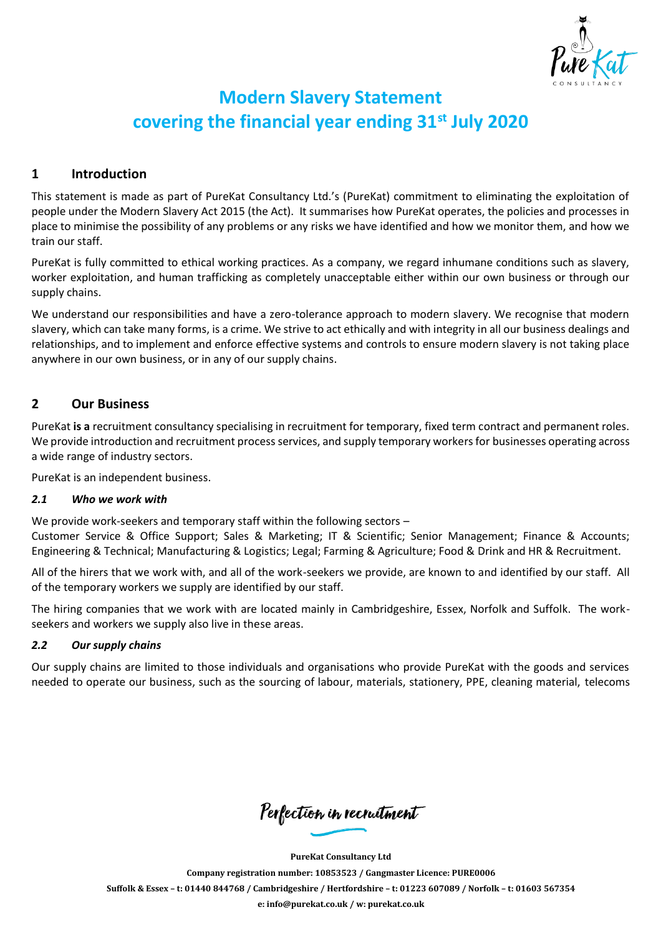

# **Modern Slavery Statement covering the financial year ending 31st July 2020**

# **1 Introduction**

This statement is made as part of PureKat Consultancy Ltd.'s (PureKat) commitment to eliminating the exploitation of people under the Modern Slavery Act 2015 (the Act). It summarises how PureKat operates, the policies and processes in place to minimise the possibility of any problems or any risks we have identified and how we monitor them, and how we train our staff.

PureKat is fully committed to ethical working practices. As a company, we regard inhumane conditions such as slavery, worker exploitation, and human trafficking as completely unacceptable either within our own business or through our supply chains.

We understand our responsibilities and have a zero-tolerance approach to modern slavery. We recognise that modern slavery, which can take many forms, is a crime. We strive to act ethically and with integrity in all our business dealings and relationships, and to implement and enforce effective systems and controls to ensure modern slavery is not taking place anywhere in our own business, or in any of our supply chains.

# **2 Our Business**

PureKat **is a** recruitment consultancy specialising in recruitment for temporary, fixed term contract and permanent roles. We provide introduction and recruitment process services, and supply temporary workers for businesses operating across a wide range of industry sectors.

PureKat is an independent business.

#### *2.1 Who we work with*

We provide work-seekers and temporary staff within the following sectors –

Customer Service & Office Support; Sales & Marketing; IT & Scientific; Senior Management; Finance & Accounts; Engineering & Technical; Manufacturing & Logistics; Legal; Farming & Agriculture; Food & Drink and HR & Recruitment.

All of the hirers that we work with, and all of the work-seekers we provide, are known to and identified by our staff. All of the temporary workers we supply are identified by our staff.

The hiring companies that we work with are located mainly in Cambridgeshire, Essex, Norfolk and Suffolk. The workseekers and workers we supply also live in these areas.

## *2.2 Our supply chains*

Our supply chains are limited to those individuals and organisations who provide PureKat with the goods and services needed to operate our business, such as the sourcing of labour, materials, stationery, PPE, cleaning material, telecoms

Perfection in recruitment

**PureKat Consultancy Ltd**

**Company registration number: 10853523 / Gangmaster Licence: PURE0006** Suffolk & Essex - t: 01440 844768 / Cambridgeshire / Hertfordshire - t: 01223 607089 / Norfolk - t: 01603 567354 **e: [info@purekat.co.uk](mailto:info@purekat.co.uk) / w: purekat.co.uk**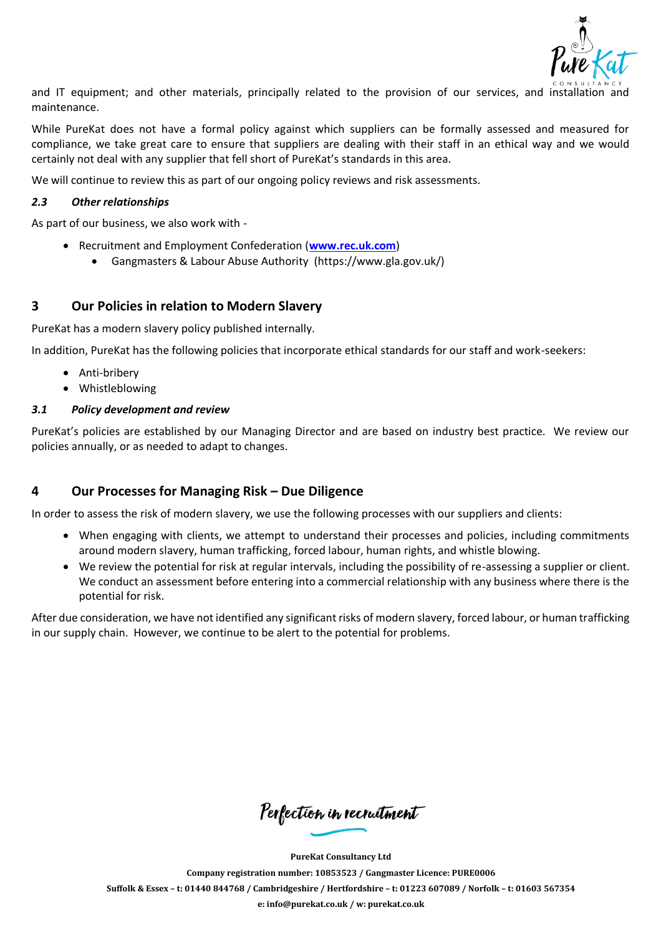

and IT equipment; and other materials, principally related to the provision of our services, and installation and maintenance.

While PureKat does not have a formal policy against which suppliers can be formally assessed and measured for compliance, we take great care to ensure that suppliers are dealing with their staff in an ethical way and we would certainly not deal with any supplier that fell short of PureKat's standards in this area.

We will continue to review this as part of our ongoing policy reviews and risk assessments.

#### *2.3 Other relationships*

As part of our business, we also work with -

- Recruitment and Employment Confederation (**[www.rec.uk.com](http://www.rec.uk.com/)**)
	- Gangmasters & Labour Abuse Authority (https://www.gla.gov.uk/)

## **3 Our Policies in relation to Modern Slavery**

PureKat has a modern slavery policy published internally.

In addition, PureKat has the following policies that incorporate ethical standards for our staff and work-seekers:

- Anti-bribery
- Whistleblowing

#### *3.1 Policy development and review*

PureKat's policies are established by our Managing Director and are based on industry best practice. We review our policies annually, or as needed to adapt to changes.

# **4 Our Processes for Managing Risk – Due Diligence**

In order to assess the risk of modern slavery, we use the following processes with our suppliers and clients:

- When engaging with clients, we attempt to understand their processes and policies, including commitments around modern slavery, human trafficking, forced labour, human rights, and whistle blowing.
- We review the potential for risk at regular intervals, including the possibility of re-assessing a supplier or client. We conduct an assessment before entering into a commercial relationship with any business where there is the potential for risk.

After due consideration, we have not identified any significant risks of modern slavery, forced labour, or human trafficking in our supply chain. However, we continue to be alert to the potential for problems.

Perfection in recruitment

**PureKat Consultancy Ltd**

**Company registration number: 10853523 / Gangmaster Licence: PURE0006** Suffolk & Essex - t: 01440 844768 / Cambridgeshire / Hertfordshire - t: 01223 607089 / Norfolk - t: 01603 567354

**e: [info@purekat.co.uk](mailto:info@purekat.co.uk) / w: purekat.co.uk**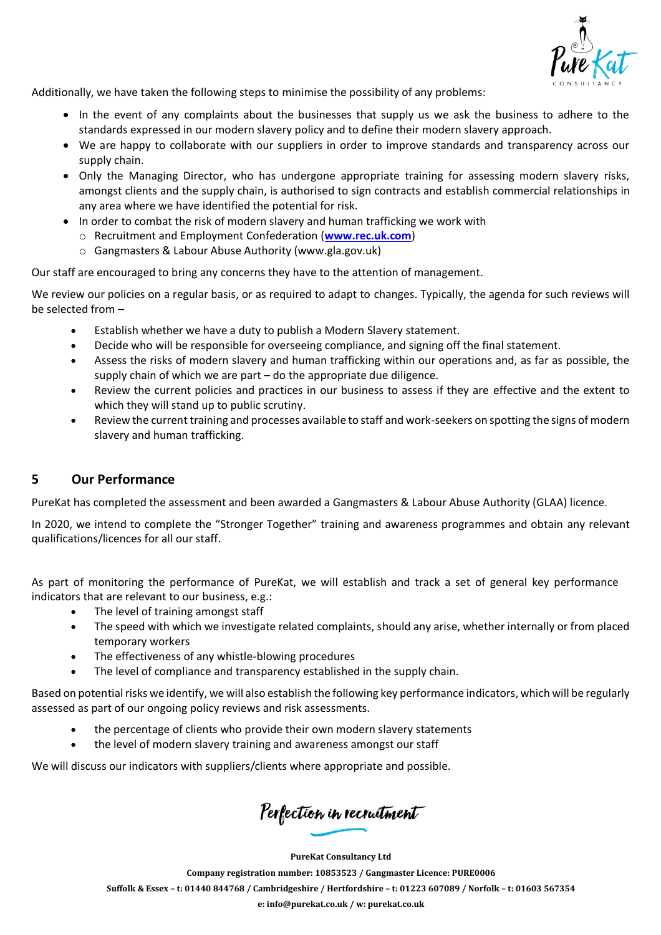

Additionally, we have taken the following steps to minimise the possibility of any problems:

- In the event of any complaints about the businesses that supply us we ask the business to adhere to the standards expressed in our modern slavery policy and to define their modern slavery approach.
- We are happy to collaborate with our suppliers in order to improve standards and transparency across our supply chain.
- Only the Managing Director, who has undergone appropriate training for assessing modern slavery risks, amongst clients and the supply chain, is authorised to sign contracts and establish commercial relationships in any area where we have identified the potential for risk.
- In order to combat the risk of modern slavery and human trafficking we work with
	- o Recruitment and Employment Confederation (**[www.rec.uk.com](http://www.rec.uk.com/)**)
	- o Gangmasters & Labour Abuse Authority (www.gla.gov.uk)

Our staff are encouraged to bring any concerns they have to the attention of management.

We review our policies on a regular basis, or as required to adapt to changes. Typically, the agenda for such reviews will be selected from –

- Establish whether we have a duty to publish a Modern Slavery statement.
- Decide who will be responsible for overseeing compliance, and signing off the final statement.
- Assess the risks of modern slavery and human trafficking within our operations and, as far as possible, the supply chain of which we are part – do the appropriate due diligence.
- Review the current policies and practices in our business to assess if they are effective and the extent to which they will stand up to public scrutiny.
- Review the current training and processes available to staff and work-seekers on spotting the signs of modern slavery and human trafficking.

## **5 Our Performance**

PureKat has completed the assessment and been awarded a Gangmasters & Labour Abuse Authority (GLAA) licence.

In 2020, we intend to complete the "Stronger Together" training and awareness programmes and obtain any relevant qualifications/licences for all our staff.

As part of monitoring the performance of PureKat, we will establish and track a set of general key performance indicators that are relevant to our business, e.g.:

- The level of training amongst staff
- The speed with which we investigate related complaints, should any arise, whether internally or from placed temporary workers
- The effectiveness of any whistle-blowing procedures
- The level of compliance and transparency established in the supply chain.

Based on potential risks we identify, we will also establish the following key performance indicators, which will be regularly assessed as part of our ongoing policy reviews and risk assessments.

- the percentage of clients who provide their own modern slavery statements
- the level of modern slavery training and awareness amongst our staff

We will discuss our indicators with suppliers/clients where appropriate and possible.

Perfection in recruitment

**PureKat Consultancy Ltd Company registration number: 10853523 / Gangmaster Licence: PURE0006** Suffolk & Essex - t: 01440 844768 / Cambridgeshire / Hertfordshire - t: 01223 607089 / Norfolk - t: 01603 567354 **e: [info@purekat.co.uk](mailto:info@purekat.co.uk) / w: purekat.co.uk**